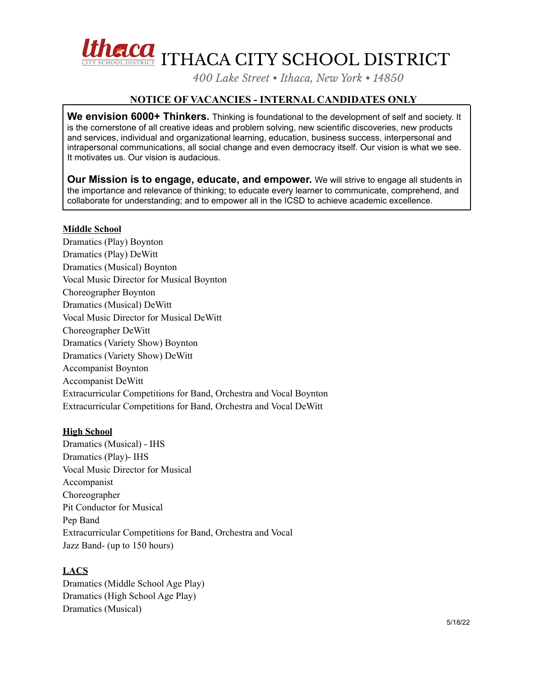

*400 Lake Street • Ithaca, New York • 14850*

## **NOTICE OF VACANCIES - INTERNAL CANDIDATES ONLY**

**We envision 6000+ Thinkers.** Thinking is foundational to the development of self and society. It is the cornerstone of all creative ideas and problem solving, new scientific discoveries, new products and services, individual and organizational learning, education, business success, interpersonal and intrapersonal communications, all social change and even democracy itself. Our vision is what we see. It motivates us. Our vision is audacious.

**Our Mission is to engage, educate, and empower.** We will strive to engage all students in the importance and relevance of thinking; to educate every learner to communicate, comprehend, and collaborate for understanding; and to empower all in the ICSD to achieve academic excellence.

## **Middle School**

Dramatics (Play) Boynton Dramatics (Play) DeWitt Dramatics (Musical) Boynton Vocal Music Director for Musical Boynton Choreographer Boynton Dramatics (Musical) DeWitt Vocal Music Director for Musical DeWitt Choreographer DeWitt Dramatics (Variety Show) Boynton Dramatics (Variety Show) DeWitt Accompanist Boynton Accompanist DeWitt Extracurricular Competitions for Band, Orchestra and Vocal Boynton Extracurricular Competitions for Band, Orchestra and Vocal DeWitt

## **High School**

Dramatics (Musical) - IHS Dramatics (Play)- IHS Vocal Music Director for Musical Accompanist Choreographer Pit Conductor for Musical Pep Band Extracurricular Competitions for Band, Orchestra and Vocal Jazz Band- (up to 150 hours)

## **LACS**

Dramatics (Middle School Age Play) Dramatics (High School Age Play) Dramatics (Musical)